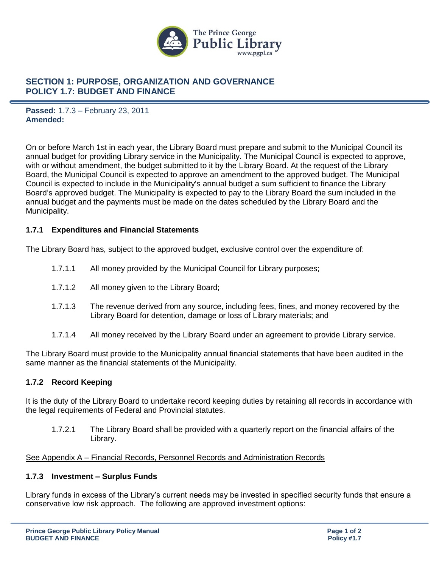

## **SECTION 1: PURPOSE, ORGANIZATION AND GOVERNANCE POLICY 1.7: BUDGET AND FINANCE**

**Passed:** 1.7.3 – February 23, 2011 **Amended:**

On or before March 1st in each year, the Library Board must prepare and submit to the Municipal Council its annual budget for providing Library service in the Municipality. The Municipal Council is expected to approve, with or without amendment, the budget submitted to it by the Library Board. At the request of the Library Board, the Municipal Council is expected to approve an amendment to the approved budget. The Municipal Council is expected to include in the Municipality's annual budget a sum sufficient to finance the Library Board's approved budget. The Municipality is expected to pay to the Library Board the sum included in the annual budget and the payments must be made on the dates scheduled by the Library Board and the Municipality.

## **1.7.1 Expenditures and Financial Statements**

The Library Board has, subject to the approved budget, exclusive control over the expenditure of:

- 1.7.1.1 All money provided by the Municipal Council for Library purposes;
- 1.7.1.2 All money given to the Library Board;
- 1.7.1.3 The revenue derived from any source, including fees, fines, and money recovered by the Library Board for detention, damage or loss of Library materials; and
- 1.7.1.4 All money received by the Library Board under an agreement to provide Library service.

The Library Board must provide to the Municipality annual financial statements that have been audited in the same manner as the financial statements of the Municipality.

## **1.7.2 Record Keeping**

It is the duty of the Library Board to undertake record keeping duties by retaining all records in accordance with the legal requirements of Federal and Provincial statutes.

1.7.2.1 The Library Board shall be provided with a quarterly report on the financial affairs of the Library.

### See Appendix A – Financial Records, Personnel Records and Administration Records

#### **1.7.3 Investment – Surplus Funds**

Library funds in excess of the Library's current needs may be invested in specified security funds that ensure a conservative low risk approach. The following are approved investment options: